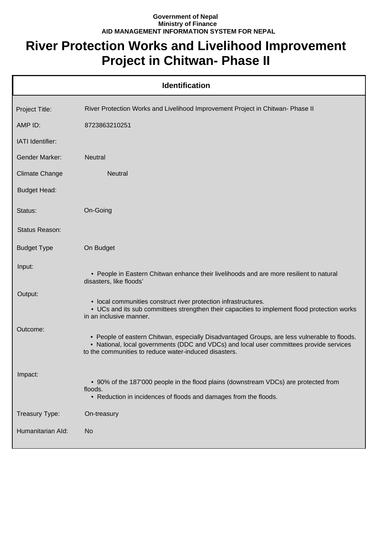## **Government of Nepal Ministry of Finance AID MANAGEMENT INFORMATION SYSTEM FOR NEPAL**

## **River Protection Works and Livelihood Improvement Project in Chitwan- Phase II**

| <b>Identification</b> |                                                                                                                                                                                                                                                  |  |
|-----------------------|--------------------------------------------------------------------------------------------------------------------------------------------------------------------------------------------------------------------------------------------------|--|
| Project Title:        | River Protection Works and Livelihood Improvement Project in Chitwan- Phase II                                                                                                                                                                   |  |
| AMP ID:               | 8723863210251                                                                                                                                                                                                                                    |  |
| IATI Identifier:      |                                                                                                                                                                                                                                                  |  |
| <b>Gender Marker:</b> | <b>Neutral</b>                                                                                                                                                                                                                                   |  |
| <b>Climate Change</b> | <b>Neutral</b>                                                                                                                                                                                                                                   |  |
| <b>Budget Head:</b>   |                                                                                                                                                                                                                                                  |  |
| Status:               | On-Going                                                                                                                                                                                                                                         |  |
| Status Reason:        |                                                                                                                                                                                                                                                  |  |
| <b>Budget Type</b>    | On Budget                                                                                                                                                                                                                                        |  |
| Input:                | • People in Eastern Chitwan enhance their livelihoods and are more resilient to natural<br>disasters, like floods'                                                                                                                               |  |
| Output:               | • local communities construct river protection infrastructures.<br>• UCs and its sub committees strengthen their capacities to implement flood protection works<br>in an inclusive manner.                                                       |  |
| Outcome:              | • People of eastern Chitwan, especially Disadvantaged Groups, are less vulnerable to floods.<br>• National, local governments (DDC and VDCs) and local user committees provide services<br>to the communities to reduce water-induced disasters. |  |
| Impact:               | • 90% of the 187'000 people in the flood plains (downstream VDCs) are protected from<br>floods.<br>• Reduction in incidences of floods and damages from the floods.                                                                              |  |
| Treasury Type:        | On-treasury                                                                                                                                                                                                                                      |  |
| Humanitarian Ald:     | <b>No</b>                                                                                                                                                                                                                                        |  |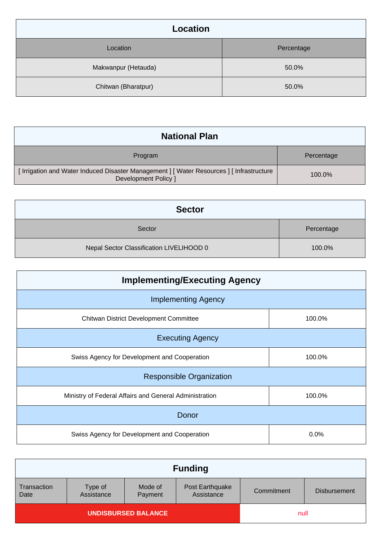| <b>Location</b>     |            |
|---------------------|------------|
| Location            | Percentage |
| Makwanpur (Hetauda) | 50.0%      |
| Chitwan (Bharatpur) | 50.0%      |

| <b>National Plan</b>                                                                                                     |            |
|--------------------------------------------------------------------------------------------------------------------------|------------|
| Program                                                                                                                  | Percentage |
| [ Irrigation and Water Induced Disaster Management ] [ Water Resources ] [ Infrastructure<br><b>Development Policy 1</b> | 100.0%     |

| <b>Sector</b>                            |            |
|------------------------------------------|------------|
| Sector                                   | Percentage |
| Nepal Sector Classification LIVELIHOOD 0 | 100.0%     |

| <b>Implementing/Executing Agency</b>                   |        |  |
|--------------------------------------------------------|--------|--|
| <b>Implementing Agency</b>                             |        |  |
| <b>Chitwan District Development Committee</b>          | 100.0% |  |
| <b>Executing Agency</b>                                |        |  |
| Swiss Agency for Development and Cooperation           | 100.0% |  |
| <b>Responsible Organization</b>                        |        |  |
| Ministry of Federal Affairs and General Administration | 100.0% |  |
| Donor                                                  |        |  |
| Swiss Agency for Development and Cooperation           | 0.0%   |  |

| <b>Funding</b>             |                       |                    |                               |            |                     |
|----------------------------|-----------------------|--------------------|-------------------------------|------------|---------------------|
| Transaction<br>Date        | Type of<br>Assistance | Mode of<br>Payment | Post Earthquake<br>Assistance | Commitment | <b>Disbursement</b> |
| <b>UNDISBURSED BALANCE</b> |                       |                    | null                          |            |                     |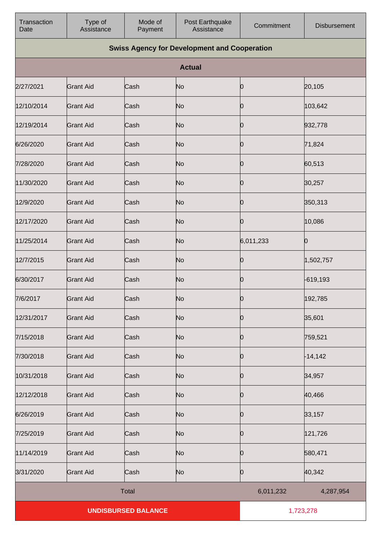| Transaction<br>Date | Type of<br>Assistance | Mode of<br>Payment         | Post Earthquake<br>Assistance                       | Commitment | <b>Disbursement</b> |
|---------------------|-----------------------|----------------------------|-----------------------------------------------------|------------|---------------------|
|                     |                       |                            | <b>Swiss Agency for Development and Cooperation</b> |            |                     |
|                     |                       |                            | <b>Actual</b>                                       |            |                     |
| 2/27/2021           | <b>Grant Aid</b>      | Cash                       | No                                                  | 0          | 20,105              |
| 12/10/2014          | <b>Grant Aid</b>      | Cash                       | N <sub>o</sub>                                      | Ю          | 103,642             |
| 12/19/2014          | <b>Grant Aid</b>      | Cash                       | N <sub>o</sub>                                      | Ю          | 932,778             |
| 6/26/2020           | <b>Grant Aid</b>      | Cash                       | N <sub>o</sub>                                      | Ю          | 71,824              |
| 7/28/2020           | <b>Grant Aid</b>      | Cash                       | N <sub>o</sub>                                      | Ю          | 60,513              |
| 11/30/2020          | <b>Grant Aid</b>      | Cash                       | N <sub>o</sub>                                      | Ю          | 30,257              |
| 12/9/2020           | <b>Grant Aid</b>      | Cash                       | N <sub>o</sub>                                      | 0          | 350,313             |
| 12/17/2020          | <b>Grant Aid</b>      | Cash                       | N <sub>o</sub>                                      | 10         | 10,086              |
| 11/25/2014          | <b>Grant Aid</b>      | Cash                       | No                                                  | 6,011,233  | Ю                   |
| 12/7/2015           | <b>Grant Aid</b>      | Cash                       | N <sub>o</sub>                                      | 0          | 1,502,757           |
| 6/30/2017           | <b>Grant Aid</b>      | Cash                       | N <sub>o</sub>                                      | Ю          | -619,193            |
| 7/6/2017            | <b>Grant Aid</b>      | Cash                       | No                                                  | Ю          | 192,785             |
| 12/31/2017          | <b>Grant Aid</b>      | Cash                       | N <sub>o</sub>                                      | 0          | 35,601              |
| 7/15/2018           | <b>Grant Aid</b>      | Cash                       | N <sub>o</sub>                                      | Ю          | 759,521             |
| 7/30/2018           | <b>Grant Aid</b>      | Cash                       | N <sub>o</sub>                                      | 10         | $-14,142$           |
| 10/31/2018          | <b>Grant Aid</b>      | Cash                       | No                                                  | Ю          | 34,957              |
| 12/12/2018          | <b>Grant Aid</b>      | Cash                       | N <sub>o</sub>                                      | 10         | 40,466              |
| 6/26/2019           | <b>Grant Aid</b>      | Cash                       | N <sub>o</sub>                                      | Ю          | 33,157              |
| 7/25/2019           | <b>Grant Aid</b>      | Cash                       | N <sub>o</sub>                                      | Ю          | 121,726             |
| 11/14/2019          | <b>Grant Aid</b>      | Cash                       | N <sub>o</sub>                                      | 0          | 580,471             |
| 3/31/2020           | <b>Grant Aid</b>      | Cash                       | N <sub>o</sub>                                      | 0          | 40,342              |
|                     |                       | <b>Total</b>               |                                                     | 6,011,232  | 4,287,954           |
|                     |                       | <b>UNDISBURSED BALANCE</b> |                                                     |            | 1,723,278           |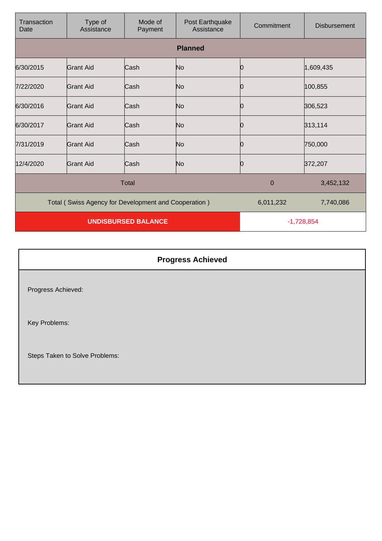| Transaction<br>Date                                  | Type of<br>Assistance | Mode of<br>Payment         | Post Earthquake<br>Assistance | Commitment  | <b>Disbursement</b> |
|------------------------------------------------------|-----------------------|----------------------------|-------------------------------|-------------|---------------------|
|                                                      |                       |                            | <b>Planned</b>                |             |                     |
| 6/30/2015                                            | <b>Grant Aid</b>      | Cash                       | No                            | 0           | 1,609,435           |
| 7/22/2020                                            | Grant Aid             | Cash                       | No                            | 0           | 100,855             |
| 6/30/2016                                            | <b>Grant Aid</b>      | Cash                       | No                            |             | 306,523             |
| 6/30/2017                                            | Grant Aid             | Cash                       | No                            |             | 313,114             |
| 7/31/2019                                            | Grant Aid             | Cash                       | No                            | 10          | 750,000             |
| 12/4/2020                                            | <b>Grant Aid</b>      | Cash                       | No                            | 10          | 372,207             |
|                                                      |                       | <b>Total</b>               |                               | $\mathbf 0$ | 3,452,132           |
| Total (Swiss Agency for Development and Cooperation) |                       |                            | 6,011,232                     | 7,740,086   |                     |
|                                                      |                       | <b>UNDISBURSED BALANCE</b> |                               |             | $-1,728,854$        |

| <b>Progress Achieved</b>       |  |
|--------------------------------|--|
| Progress Achieved:             |  |
| Key Problems:                  |  |
| Steps Taken to Solve Problems: |  |